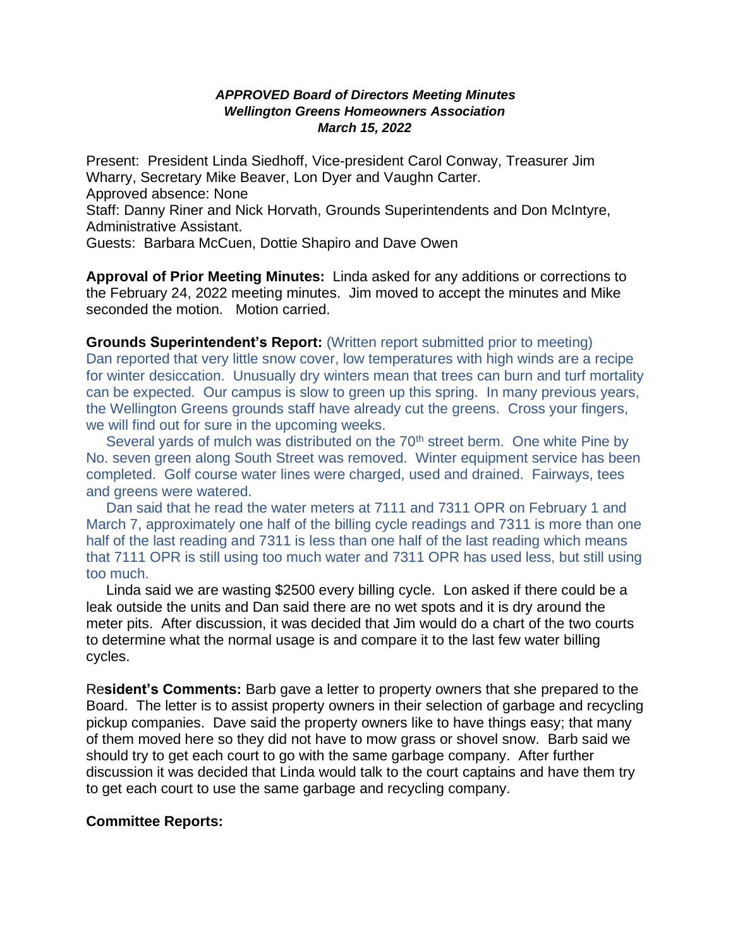## *APPROVED Board of Directors Meeting Minutes Wellington Greens Homeowners Association March 15, 2022*

Present: President Linda Siedhoff, Vice-president Carol Conway, Treasurer Jim Wharry, Secretary Mike Beaver, Lon Dyer and Vaughn Carter. Approved absence: None

Staff: Danny Riner and Nick Horvath, Grounds Superintendents and Don McIntyre, Administrative Assistant.

Guests: Barbara McCuen, Dottie Shapiro and Dave Owen

**Approval of Prior Meeting Minutes:** Linda asked for any additions or corrections to the February 24, 2022 meeting minutes. Jim moved to accept the minutes and Mike seconded the motion. Motion carried.

**Grounds Superintendent's Report:** (Written report submitted prior to meeting) Dan reported that very little snow cover, low temperatures with high winds are a recipe for winter desiccation. Unusually dry winters mean that trees can burn and turf mortality can be expected. Our campus is slow to green up this spring. In many previous years, the Wellington Greens grounds staff have already cut the greens. Cross your fingers, we will find out for sure in the upcoming weeks.

Several yards of mulch was distributed on the 70<sup>th</sup> street berm. One white Pine bv No. seven green along South Street was removed. Winter equipment service has been completed. Golf course water lines were charged, used and drained. Fairways, tees and greens were watered.

 Dan said that he read the water meters at 7111 and 7311 OPR on February 1 and March 7, approximately one half of the billing cycle readings and 7311 is more than one half of the last reading and 7311 is less than one half of the last reading which means that 7111 OPR is still using too much water and 7311 OPR has used less, but still using too much.

 Linda said we are wasting \$2500 every billing cycle. Lon asked if there could be a leak outside the units and Dan said there are no wet spots and it is dry around the meter pits. After discussion, it was decided that Jim would do a chart of the two courts to determine what the normal usage is and compare it to the last few water billing cycles.

Re**sident's Comments:** Barb gave a letter to property owners that she prepared to the Board. The letter is to assist property owners in their selection of garbage and recycling pickup companies. Dave said the property owners like to have things easy; that many of them moved here so they did not have to mow grass or shovel snow. Barb said we should try to get each court to go with the same garbage company. After further discussion it was decided that Linda would talk to the court captains and have them try to get each court to use the same garbage and recycling company.

## **Committee Reports:**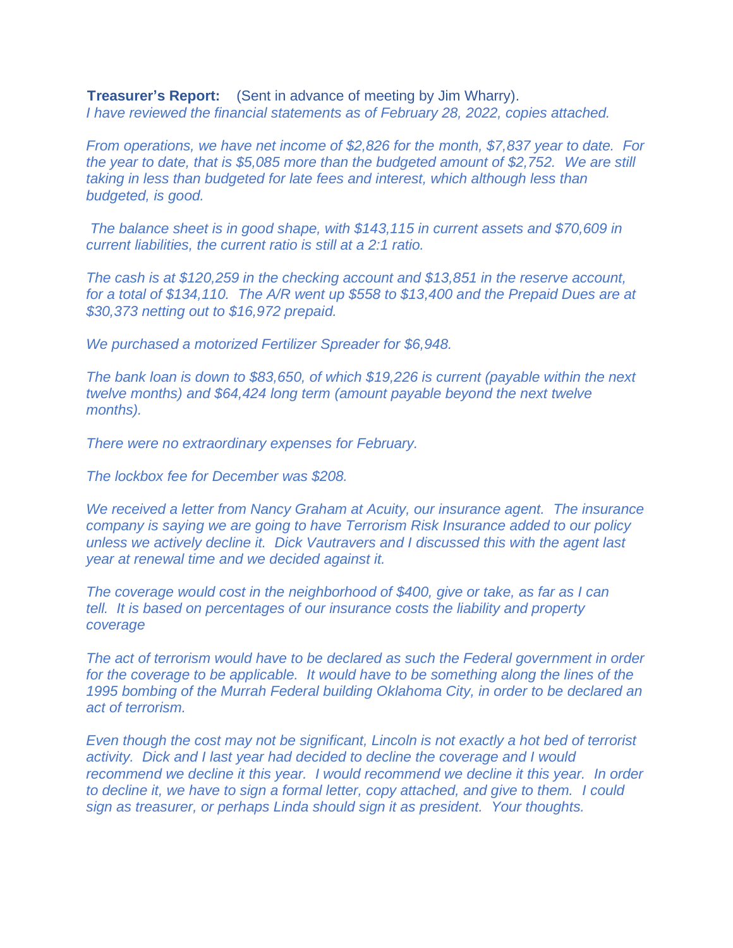**Treasurer's Report:** (Sent in advance of meeting by Jim Wharry). *I have reviewed the financial statements as of February 28, 2022, copies attached.*

*From operations, we have net income of \$2,826 for the month, \$7,837 year to date. For the year to date, that is \$5,085 more than the budgeted amount of \$2,752. We are still taking in less than budgeted for late fees and interest, which although less than budgeted, is good.*

*The balance sheet is in good shape, with \$143,115 in current assets and \$70,609 in current liabilities, the current ratio is still at a 2:1 ratio.*

*The cash is at \$120,259 in the checking account and \$13,851 in the reserve account, for a total of \$134,110. The A/R went up \$558 to \$13,400 and the Prepaid Dues are at \$30,373 netting out to \$16,972 prepaid.*

*We purchased a motorized Fertilizer Spreader for \$6,948.*

*The bank loan is down to \$83,650, of which \$19,226 is current (payable within the next twelve months) and \$64,424 long term (amount payable beyond the next twelve months).*

*There were no extraordinary expenses for February.*

*The lockbox fee for December was \$208.*

*We received a letter from Nancy Graham at Acuity, our insurance agent. The insurance company is saying we are going to have Terrorism Risk Insurance added to our policy unless we actively decline it. Dick Vautravers and I discussed this with the agent last year at renewal time and we decided against it.*

*The coverage would cost in the neighborhood of \$400, give or take, as far as I can tell. It is based on percentages of our insurance costs the liability and property coverage*

*The act of terrorism would have to be declared as such the Federal government in order for the coverage to be applicable. It would have to be something along the lines of the 1995 bombing of the Murrah Federal building Oklahoma City, in order to be declared an act of terrorism.*

*Even though the cost may not be significant, Lincoln is not exactly a hot bed of terrorist activity. Dick and I last year had decided to decline the coverage and I would recommend we decline it this year. I would recommend we decline it this year. In order to decline it, we have to sign a formal letter, copy attached, and give to them. I could sign as treasurer, or perhaps Linda should sign it as president. Your thoughts.*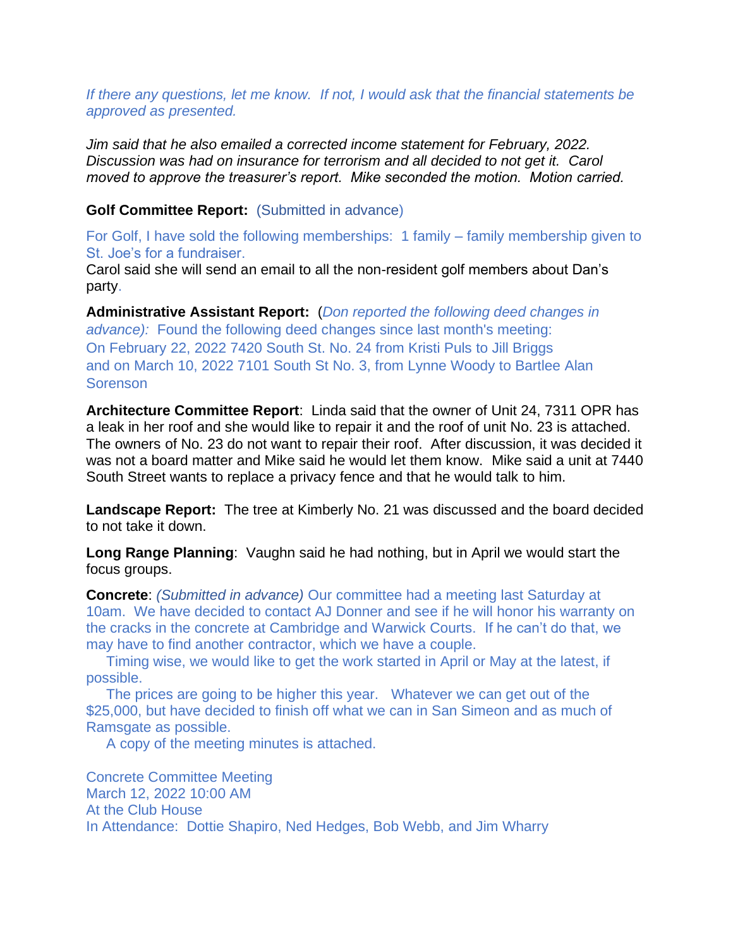*If there any questions, let me know. If not, I would ask that the financial statements be approved as presented.*

*Jim said that he also emailed a corrected income statement for February, 2022. Discussion was had on insurance for terrorism and all decided to not get it. Carol moved to approve the treasurer's report. Mike seconded the motion. Motion carried.*

## **Golf Committee Report:** (Submitted in advance)

For Golf, I have sold the following memberships: 1 family – family membership given to St. Joe's for a fundraiser.

Carol said she will send an email to all the non-resident golf members about Dan's party.

**Administrative Assistant Report:** (*Don reported the following deed changes in advance):* Found the following deed changes since last month's meeting: On February 22, 2022 7420 South St. No. 24 from Kristi Puls to Jill Briggs and on March 10, 2022 7101 South St No. 3, from Lynne Woody to Bartlee Alan **Sorenson** 

**Architecture Committee Report**: Linda said that the owner of Unit 24, 7311 OPR has a leak in her roof and she would like to repair it and the roof of unit No. 23 is attached. The owners of No. 23 do not want to repair their roof. After discussion, it was decided it was not a board matter and Mike said he would let them know. Mike said a unit at 7440 South Street wants to replace a privacy fence and that he would talk to him.

**Landscape Report:** The tree at Kimberly No. 21 was discussed and the board decided to not take it down.

**Long Range Planning**: Vaughn said he had nothing, but in April we would start the focus groups.

**Concrete**: *(Submitted in advance)* Our committee had a meeting last Saturday at 10am. We have decided to contact AJ Donner and see if he will honor his warranty on the cracks in the concrete at Cambridge and Warwick Courts. If he can't do that, we may have to find another contractor, which we have a couple.

 Timing wise, we would like to get the work started in April or May at the latest, if possible.

 The prices are going to be higher this year. Whatever we can get out of the \$25,000, but have decided to finish off what we can in San Simeon and as much of Ramsgate as possible.

A copy of the meeting minutes is attached.

Concrete Committee Meeting March 12, 2022 10:00 AM At the Club House In Attendance: Dottie Shapiro, Ned Hedges, Bob Webb, and Jim Wharry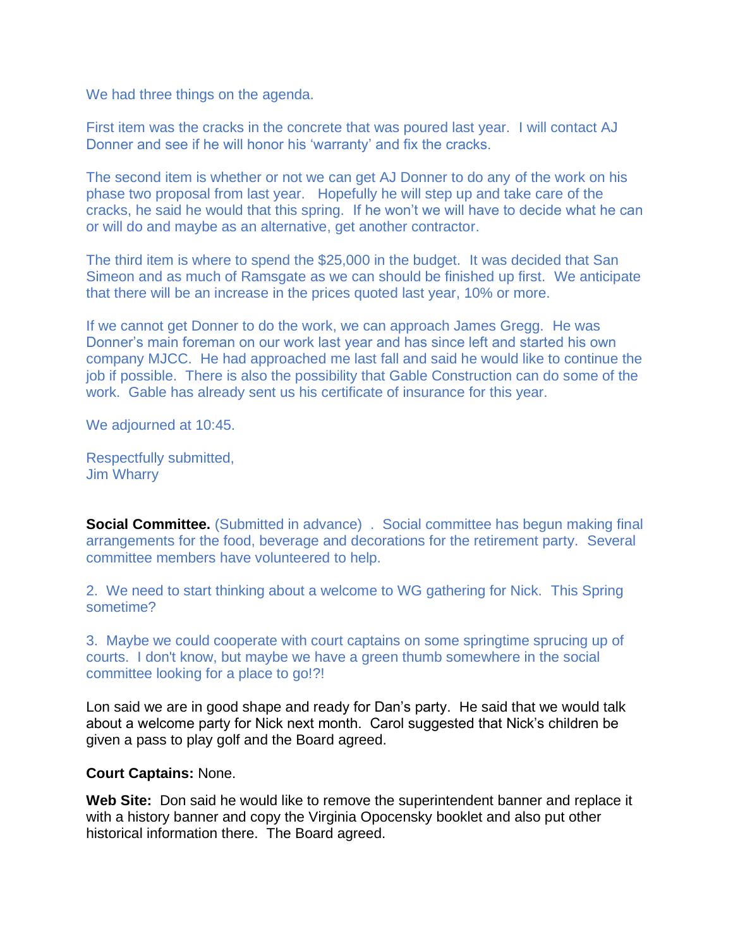We had three things on the agenda.

First item was the cracks in the concrete that was poured last year. I will contact AJ Donner and see if he will honor his 'warranty' and fix the cracks.

The second item is whether or not we can get AJ Donner to do any of the work on his phase two proposal from last year. Hopefully he will step up and take care of the cracks, he said he would that this spring. If he won't we will have to decide what he can or will do and maybe as an alternative, get another contractor.

The third item is where to spend the \$25,000 in the budget. It was decided that San Simeon and as much of Ramsgate as we can should be finished up first. We anticipate that there will be an increase in the prices quoted last year, 10% or more.

If we cannot get Donner to do the work, we can approach James Gregg. He was Donner's main foreman on our work last year and has since left and started his own company MJCC. He had approached me last fall and said he would like to continue the job if possible. There is also the possibility that Gable Construction can do some of the work. Gable has already sent us his certificate of insurance for this year.

We adjourned at 10:45.

Respectfully submitted, Jim Wharry

**Social Committee.** (Submitted in advance) . Social committee has begun making final arrangements for the food, beverage and decorations for the retirement party. Several committee members have volunteered to help.

2. We need to start thinking about a welcome to WG gathering for Nick. This Spring sometime?

3. Maybe we could cooperate with court captains on some springtime sprucing up of courts. I don't know, but maybe we have a green thumb somewhere in the social committee looking for a place to go!?!

Lon said we are in good shape and ready for Dan's party. He said that we would talk about a welcome party for Nick next month. Carol suggested that Nick's children be given a pass to play golf and the Board agreed.

## **Court Captains:** None.

**Web Site:** Don said he would like to remove the superintendent banner and replace it with a history banner and copy the Virginia Opocensky booklet and also put other historical information there. The Board agreed.